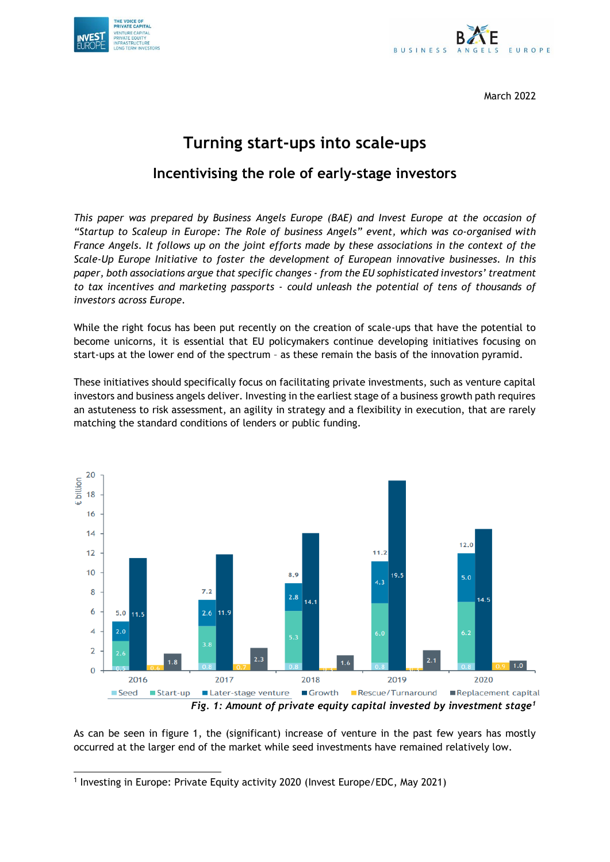



March 2022

# **Turning start-ups into scale-ups**

# **Incentivising the role of early-stage investors**

*This paper was prepared by Business Angels Europe (BAE) and Invest Europe at the occasion of "Startup to Scaleup in Europe: The Role of business Angels" event, which was co-organised with France Angels. It follows up on the joint efforts made by these associations in the context of the Scale-Up Europe Initiative to foster the development of European innovative businesses. In this paper, both associations argue that specific changes - from the EU sophisticated investors' treatment to tax incentives and marketing passports - could unleash the potential of tens of thousands of investors across Europe.* 

While the right focus has been put recently on the creation of scale-ups that have the potential to become unicorns, it is essential that EU policymakers continue developing initiatives focusing on start-ups at the lower end of the spectrum – as these remain the basis of the innovation pyramid.

These initiatives should specifically focus on facilitating private investments, such as venture capital investors and business angels deliver. Investing in the earliest stage of a business growth path requires an astuteness to risk assessment, an agility in strategy and a flexibility in execution, that are rarely matching the standard conditions of lenders or public funding.



*Fig. 1: Amount of private equity capital invested by investment stage<sup>1</sup>*

As can be seen in figure 1, the (significant) increase of venture in the past few years has mostly occurred at the larger end of the market while seed investments have remained relatively low.

<sup>&</sup>lt;sup>1</sup> Investing in Europe: Private Equity activity 2020 (Invest Europe/EDC, May 2021)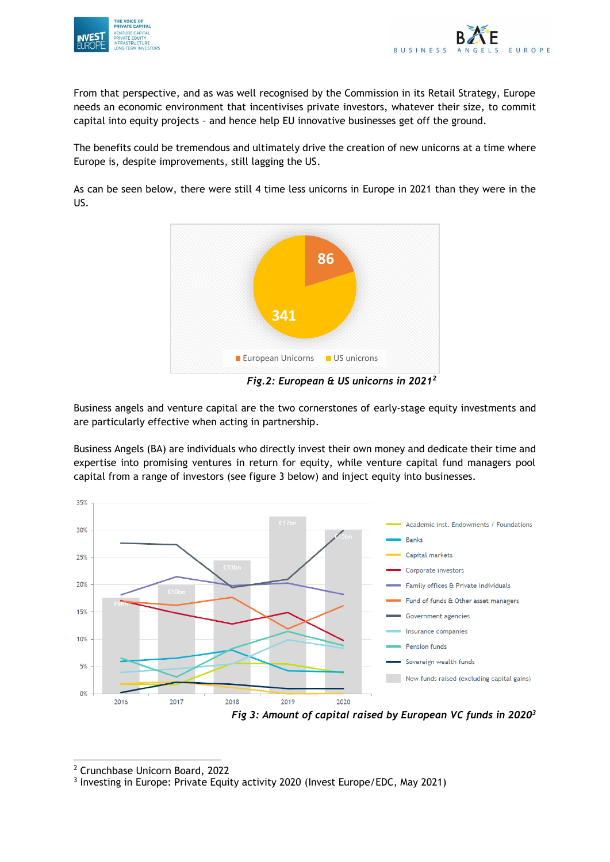



From that perspective, and as was well recognised by the Commission in its Retail Strategy, Europe needs an economic environment that incentivises private investors, whatever their size, to commit capital into equity projects – and hence help EU innovative businesses get off the ground.

The benefits could be tremendous and ultimately drive the creation of new unicorns at a time where Europe is, despite improvements, still lagging the US.

As can be seen below, there were still 4 time less unicorns in Europe in 2021 than they were in the US.



*Fig.2: European & US unicorns in 2021<sup>2</sup>*

Business angels and venture capital are the two cornerstones of early-stage equity investments and are particularly effective when acting in partnership.

Business Angels (BA) are individuals who directly invest their own money and dedicate their time and expertise into promising ventures in return for equity, while venture capital fund managers pool capital from a range of investors (see figure 3 below) and inject equity into businesses.



<sup>2</sup> Crunchbase Unicorn Board, 2022

<sup>&</sup>lt;sup>3</sup> Investing in Europe: Private Equity activity 2020 (Invest Europe/EDC, May 2021)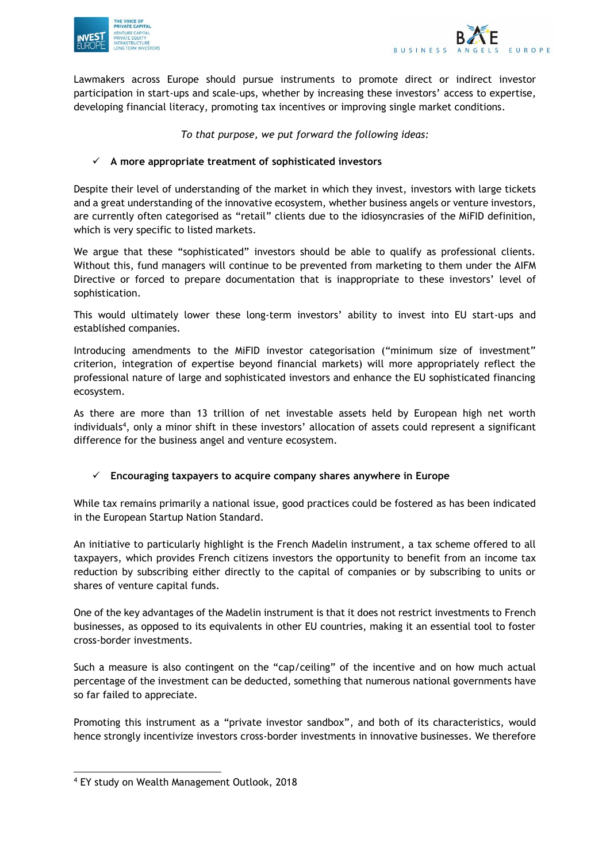



Lawmakers across Europe should pursue instruments to promote direct or indirect investor participation in start-ups and scale-ups, whether by increasing these investors' access to expertise, developing financial literacy, promoting tax incentives or improving single market conditions.

## *To that purpose, we put forward the following ideas:*

# ✓ **A more appropriate treatment of sophisticated investors**

Despite their level of understanding of the market in which they invest, investors with large tickets and a great understanding of the innovative ecosystem, whether business angels or venture investors, are currently often categorised as "retail" clients due to the idiosyncrasies of the MiFID definition, which is very specific to listed markets.

We argue that these "sophisticated" investors should be able to qualify as professional clients. Without this, fund managers will continue to be prevented from marketing to them under the AIFM Directive or forced to prepare documentation that is inappropriate to these investors' level of sophistication.

This would ultimately lower these long-term investors' ability to invest into EU start-ups and established companies.

Introducing amendments to the MiFID investor categorisation ("minimum size of investment" criterion, integration of expertise beyond financial markets) will more appropriately reflect the professional nature of large and sophisticated investors and enhance the EU sophisticated financing ecosystem.

As there are more than 13 trillion of net investable assets held by European high net worth individuals<sup>4</sup> , only a minor shift in these investors' allocation of assets could represent a significant difference for the business angel and venture ecosystem.

## ✓ **Encouraging taxpayers to acquire company shares anywhere in Europe**

While tax remains primarily a national issue, good practices could be fostered as has been indicated in the European Startup Nation Standard.

An initiative to particularly highlight is the French Madelin instrument, a tax scheme offered to all taxpayers, which provides French citizens investors the opportunity to benefit from an income tax reduction by subscribing either directly to the capital of companies or by subscribing to units or shares of venture capital funds.

One of the key advantages of the Madelin instrument is that it does not restrict investments to French businesses, as opposed to its equivalents in other EU countries, making it an essential tool to foster cross-border investments.

Such a measure is also contingent on the "cap/ceiling" of the incentive and on how much actual percentage of the investment can be deducted, something that numerous national governments have so far failed to appreciate.

Promoting this instrument as a "private investor sandbox", and both of its characteristics, would hence strongly incentivize investors cross-border investments in innovative businesses. We therefore

<sup>4</sup> EY study on Wealth Management Outlook, 2018